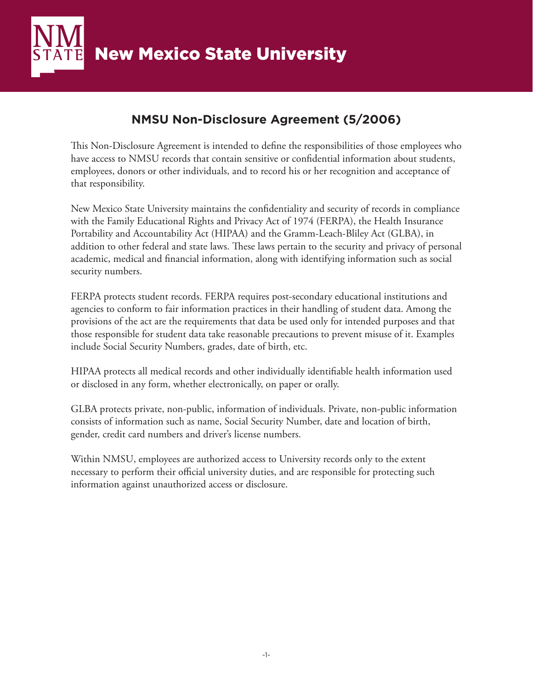New Mexico State University

## **NMSU Non-Disclosure Agreement (5/2006)**

This Non-Disclosure Agreement is intended to define the responsibilities of those employees who have access to NMSU records that contain sensitive or confidential information about students, employees, donors or other individuals, and to record his or her recognition and acceptance of that responsibility.

New Mexico State University maintains the confidentiality and security of records in compliance with the Family Educational Rights and Privacy Act of 1974 (FERPA), the Health Insurance Portability and Accountability Act (HIPAA) and the Gramm-Leach-Bliley Act (GLBA), in addition to other federal and state laws. These laws pertain to the security and privacy of personal academic, medical and financial information, along with identifying information such as social security numbers.

FERPA protects student records. FERPA requires post-secondary educational institutions and agencies to conform to fair information practices in their handling of student data. Among the provisions of the act are the requirements that data be used only for intended purposes and that those responsible for student data take reasonable precautions to prevent misuse of it. Examples include Social Security Numbers, grades, date of birth, etc.

HIPAA protects all medical records and other individually identifiable health information used or disclosed in any form, whether electronically, on paper or orally.

GLBA protects private, non-public, information of individuals. Private, non-public information consists of information such as name, Social Security Number, date and location of birth, gender, credit card numbers and driver's license numbers.

Within NMSU, employees are authorized access to University records only to the extent necessary to perform their official university duties, and are responsible for protecting such information against unauthorized access or disclosure.